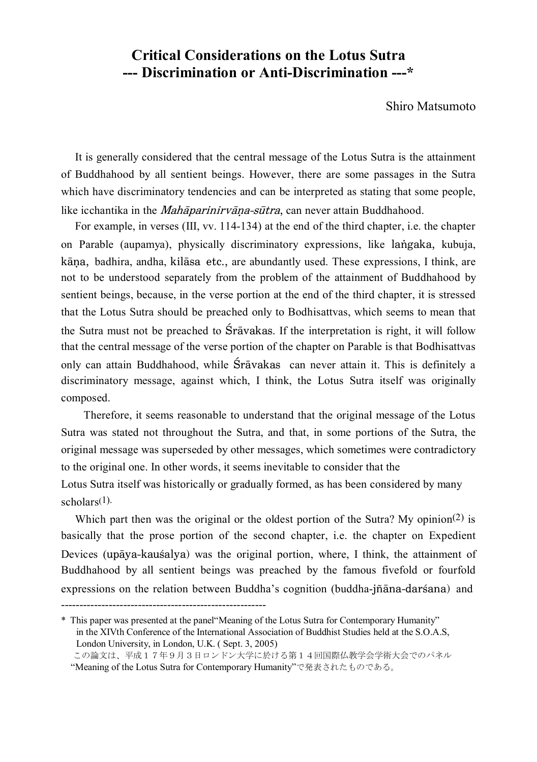## **Critical Considerations on the Lotus Sutra --- Discrimination or Anti-Discrimination ---\***

## Shiro Matsumoto

 It is generally considered that the central message of the Lotus Sutra is the attainment of Buddhahood by all sentient beings. However, there are some passages in the Sutra which have discriminatory tendencies and can be interpreted as stating that some people, like icchantika in the *Mahāparinirvāna-sūtra*, can never attain Buddhahood.

 For example, in verses (III, vv. 114-134) at the end of the third chapter, i.e. the chapter on Parable (aupamya), physically discriminatory expressions, like langaka, kubuja, kāna, badhira, andha, kilāsa etc., are abundantly used. These expressions, I think, are not to be understood separately from the problem of the attainment of Buddhahood by sentient beings, because, in the verse portion at the end of the third chapter, it is stressed that the Lotus Sutra should be preached only to Bodhisattvas, which seems to mean that the Sutra must not be preached to  $\hat{S}r\bar{a}vakas$ . If the interpretation is right, it will follow that the central message of the verse portion of the chapter on Parable is that Bodhisattvas only can attain Buddhahood, while Śrāvakas can never attain it. This is definitely a discriminatory message, against which, I think, the Lotus Sutra itself was originally composed.

Therefore, it seems reasonable to understand that the original message of the Lotus Sutra was stated not throughout the Sutra, and that, in some portions of the Sutra, the original message was superseded by other messages, which sometimes were contradictory to the original one. In other words, it seems inevitable to consider that the

Lotus Sutra itself was historically or gradually formed, as has been considered by many scholars(1).

Which part then was the original or the oldest portion of the Sutra? My opinion<sup>(2)</sup> is basically that the prose portion of the second chapter, i.e. the chapter on Expedient Devices (upaya-kausalya) was the original portion, where, I think, the attainment of Buddhahood by all sentient beings was preached by the famous fivefold or fourfold expressions on the relation between Buddha's cognition (buddha-jñāna-darśana) and

--------------------------------------------------------

<sup>\*</sup> This paper was presented at the panel"Meaning of the Lotus Sutra for Contemporary Humanity" in the XIVth Conference of the International Association of Buddhist Studies held at the S.O.A.S, London University, in London, U.K. ( Sept. 3, 2005)

この論文は、平成17年9月3日ロンドン大学に於ける第14回国際仏教学会学術大会でのパネル "Meaning of the Lotus Sutra for Contemporary Humanity"で発表されたものである。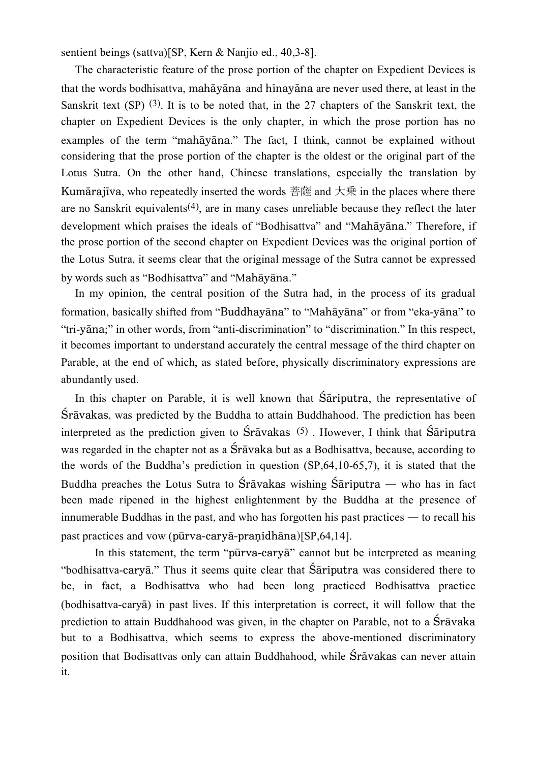sentient beings (sattva)[SP, Kern & Nanjio ed., 40,3-8].

 The characteristic feature of the prose portion of the chapter on Expedient Devices is that the words bodhisattva, mahāyāna and hīnayāna are never used there, at least in the Sanskrit text (SP) (3). It is to be noted that, in the 27 chapters of the Sanskrit text, the chapter on Expedient Devices is the only chapter, in which the prose portion has no examples of the term "mahayana." The fact. I think, cannot be explained without considering that the prose portion of the chapter is the oldest or the original part of the Lotus Sutra. On the other hand, Chinese translations, especially the translation by Kumārajīva, who repeatedly inserted the words 菩薩 and 大乗 in the places where there are no Sanskrit equivalents(4), are in many cases unreliable because they reflect the later development which praises the ideals of "Bodhisattva" and "Mahayana." Therefore, if the prose portion of the second chapter on Expedient Devices was the original portion of the Lotus Sutra, it seems clear that the original message of the Sutra cannot be expressed by words such as "Bodhisattva" and "Mahāyāna."

 In my opinion, the central position of the Sutra had, in the process of its gradual formation, basically shifted from "Buddhayana" to "Mahayana" or from "eka-yana" to "tri-yāna;" in other words, from "anti-discrimination" to "discrimination." In this respect, it becomes important to understand accurately the central message of the third chapter on Parable, at the end of which, as stated before, physically discriminatory expressions are abundantly used.

In this chapter on Parable, it is well known that Sariputra, the representative of Srāvakas, was predicted by the Buddha to attain Buddhahood. The prediction has been interpreted as the prediction given to  $\hat{S}$ rāvakas  $(5)$ . However, I think that  $\hat{S}$ ariputra was regarded in the chapter not as a  $\overline{S}r\overline{a}v\overline{a}v\overline{a}k$  as a Bodhisattva, because, according to the words of the Buddha's prediction in question (SP,64,10-65,7), it is stated that the Buddha preaches the Lotus Sutra to Śrāvakas wishing Śāriputra — who has in fact been made ripened in the highest enlightenment by the Buddha at the presence of innumerable Buddhas in the past, and who has forgotten his past practices ― to recall his past practices and vow (pūrva-caryā-pranidhāna) $[SP,64,14]$ .

In this statement, the term "pūrva-caryā" cannot but be interpreted as meaning "bodhisattva-cary $\bar{a}$ ." Thus it seems quite clear that  $\bar{S}$  ariputra was considered there to be, in fact, a Bodhisattva who had been long practiced Bodhisattva practice (bodhisattva-carya) in past lives. If this interpretation is correct, it will follow that the prediction to attain Buddhahood was given, in the chapter on Parable, not to a Sravaka but to a Bodhisattva, which seems to express the above-mentioned discriminatory position that Bodisattvas only can attain Buddhahood, while Śrāvakas can never attain it.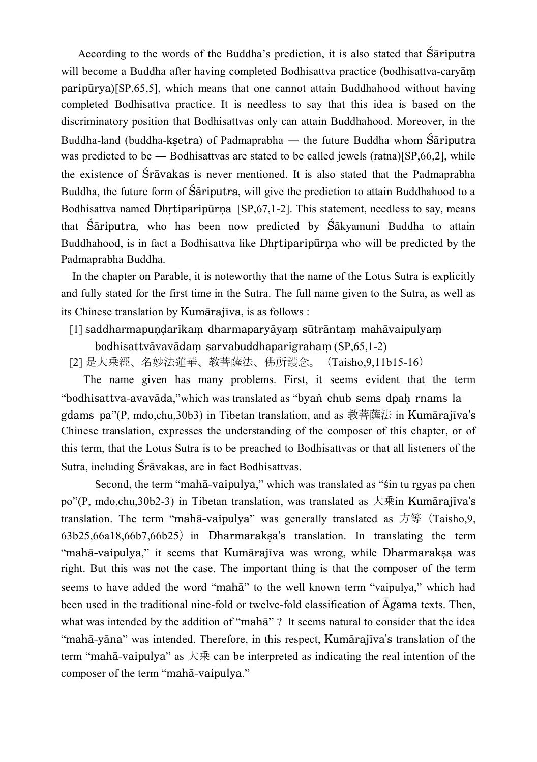According to the words of the Buddha's prediction, it is also stated that  $S$ ariputra will become a Buddha after having completed Bodhisattva practice (bodhisattva-cary $\bar{a}$ m  $paripūrva$ [SP,65,5], which means that one cannot attain Buddhahood without having completed Bodhisattva practice. It is needless to say that this idea is based on the discriminatory position that Bodhisattvas only can attain Buddhahood. Moreover, in the Buddha-land (buddha-ksetra) of Padmaprabha — the future Buddha whom Sariputra was predicted to be — Bodhisattvas are stated to be called jewels (ratna) $[SP, 66, 2]$ , while the existence of Śrāvakas is never mentioned. It is also stated that the Padmaprabha Buddha, the future form of Sariputra, will give the prediction to attain Buddhahood to a Bodhisattva named Dhrtiparip $\overline{u}$ rna [SP,67,1-2]. This statement, needless to say, means that  $\hat{S}$  ariputra, who has been now predicted by  $\hat{S}$  akyamuni Buddha to attain Buddhahood, is in fact a Bodhisattva like Dhrtiparipurna who will be predicted by the Padmaprabha Buddha.

 In the chapter on Parable, it is noteworthy that the name of the Lotus Sutra is explicitly and fully stated for the first time in the Sutra. The full name given to the Sutra, as well as its Chinese translation by Kumārajīva, is as follows :

[1] saddharmapundarīkam dharmaparyāyam sūtrāntam mahāvaipulyam

 $b$ odhisattvāvavādam sarvabuddhaparigraham  $(SP, 65, 1-2)$ 

[2] 是大乗經、名妙法蓮華、教菩薩法、佛所護念。 (Taisho, 9, 11 b 1 5 - 1 6)

 The name given has many problems. First, it seems evident that the term "bodhisattva-avavāda," which was translated as "byan chub sems dpah rnams la gdams pa"(P, mdo,chu,30b3) in Tibetan translation, and as 教菩薩法 in Kumārajīva's Chinese translation, expresses the understanding of the composer of this chapter, or of this term, that the Lotus Sutra is to be preached to Bodhisattvas or that all listeners of the Sutra, including Śrāvakas, are in fact Bodhisattvas.

Second, the term "mahā-vaipulya," which was translated as "sin tu rgyas pa chen po"(P, mdo,chu,30b2-3) in Tibetan translation, was translated as 大乗 in Kumarajīva's translation. The term "mahā-vaipulya" was generally translated as 方等 (Taisho,9, 63b25,66a18,66b7,66b25) in DharmarakXa's translation. In translating the term "mahā-vaipulya," it seems that Kumārajīva was wrong, while Dharmaraksa was right. But this was not the case. The important thing is that the composer of the term seems to have added the word "maha" to the well known term "vaipulya," which had been used in the traditional nine-fold or twelve-fold classification of  $\overline{A}$ gama texts. Then, what was intended by the addition of "maha" ? It seems natural to consider that the idea "mahā-yāna" was intended. Therefore, in this respect, Kumārajīva's translation of the term "mahā-vaipulya" as 大乗 can be interpreted as indicating the real intention of the composer of the term "mahā-vaipulya."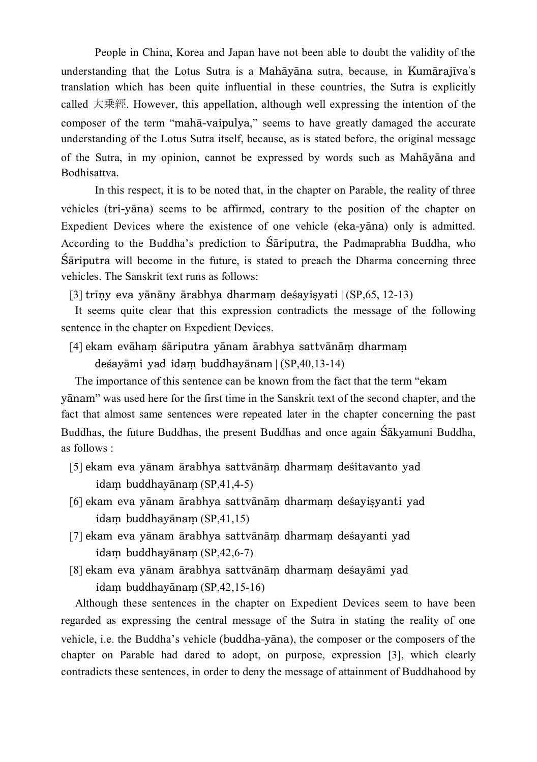People in China, Korea and Japan have not been able to doubt the validity of the understanding that the Lotus Sutra is a Mahayana sutra, because, in Kumarajiya's translation which has been quite influential in these countries, the Sutra is explicitly called 大乗經. However, this appellation, although well expressing the intention of the composer of the term "mahā-vaipulya," seems to have greatly damaged the accurate understanding of the Lotus Sutra itself, because, as is stated before, the original message of the Sutra, in my opinion, cannot be expressed by words such as Mahayana and Bodhisattva.

In this respect, it is to be noted that, in the chapter on Parable, the reality of three vehicles (tri-yana) seems to be affirmed, contrary to the position of the chapter on Expedient Devices where the existence of one vehicle (eka-yana) only is admitted. According to the Buddha's prediction to Sariputra, the Padmaprabha Buddha, who  $S$ ariputra will become in the future, is stated to preach the Dharma concerning three vehicles. The Sanskrit text runs as follows:

 $[3]$  trīny eva vānāny ārabhya dharmam desavisvati  $| (SP.65, 12-13)$ 

 It seems quite clear that this expression contradicts the message of the following sentence in the chapter on Expedient Devices.

[4] ekam evāham śāriputra yānam ārabhya sattvānām dharmam

desayāmi yad idam buddhayānam  $|(SP,40,13-14)$ 

 The importance of this sentence can be known from the fact that the term "ekam yaham" was used here for the first time in the Sanskrit text of the second chapter, and the fact that almost same sentences were repeated later in the chapter concerning the past Buddhas, the future Buddhas, the present Buddhas and once again Sakyamuni Buddha, as follows :

- [5] ekam eva yānam ārabhya sattvānām dharmam desitavanto yad  $idam$  buddhayānam  $(SP, 41, 4-5)$
- [6] ekam eva yānam ārabhya sattvānām dharmam desayisyanti yad  $idam$  buddhayānam  $(SP,41,15)$
- [7] ekam eva yānam ārabhya sattvānām dharmam desayanti yad idam buddhayānam  $(SP, 42, 6-7)$
- [8] ekam eva yānam ārabhya sattvānām dharmam desayāmi yad  $idam$  buddhayānam  $(SP.42.15-16)$

 Although these sentences in the chapter on Expedient Devices seem to have been regarded as expressing the central message of the Sutra in stating the reality of one vehicle, i.e. the Buddha's vehicle (buddha-yāna), the composer or the composers of the chapter on Parable had dared to adopt, on purpose, expression [3], which clearly contradicts these sentences, in order to deny the message of attainment of Buddhahood by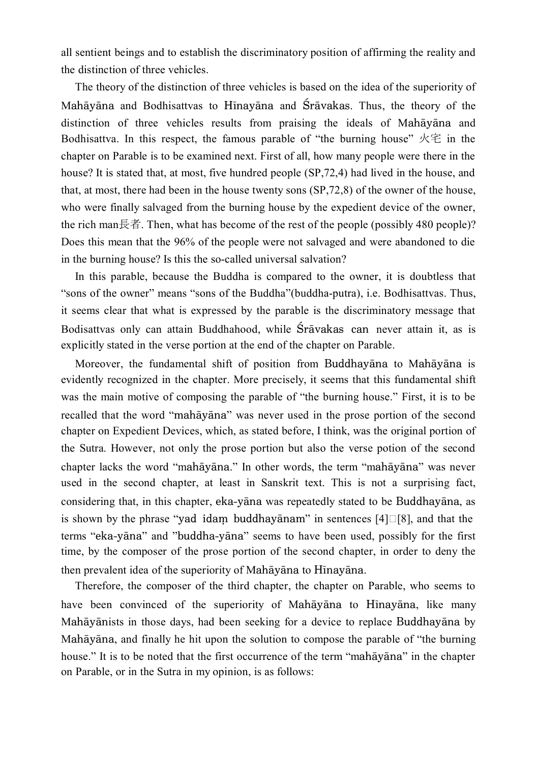all sentient beings and to establish the discriminatory position of affirming the reality and the distinction of three vehicles.

 The theory of the distinction of three vehicles is based on the idea of the superiority of Mahāyāna and Bodhisattvas to Hīnayāna and Śrāvakas. Thus, the theory of the distinction of three vehicles results from praising the ideals of Mahayana and Bodhisattva. In this respect, the famous parable of "the burning house" 火宅 in the chapter on Parable is to be examined next. First of all, how many people were there in the house? It is stated that, at most, five hundred people (SP,72,4) had lived in the house, and that, at most, there had been in the house twenty sons (SP,72,8) of the owner of the house, who were finally salvaged from the burning house by the expedient device of the owner, the rich man長者. Then, what has become of the rest of the people (possibly 480 people)? Does this mean that the 96% of the people were not salvaged and were abandoned to die in the burning house? Is this the so-called universal salvation?

 In this parable, because the Buddha is compared to the owner, it is doubtless that "sons of the owner" means "sons of the Buddha"(buddha-putra), i.e. Bodhisattvas. Thus, it seems clear that what is expressed by the parable is the discriminatory message that Bodisattvas only can attain Buddhahood, while Śrāvakas can never attain it, as is explicitly stated in the verse portion at the end of the chapter on Parable.

Moreover, the fundamental shift of position from Buddhayana to Mahayana is evidently recognized in the chapter. More precisely, it seems that this fundamental shift was the main motive of composing the parable of "the burning house." First, it is to be recalled that the word "mahayana" was never used in the prose portion of the second chapter on Expedient Devices, which, as stated before, I think, was the original portion of the Sutra. However, not only the prose portion but also the verse potion of the second chapter lacks the word "mahāyāna." In other words, the term "mahāyāna" was never used in the second chapter, at least in Sanskrit text. This is not a surprising fact, considering that, in this chapter, eka-yana was repeatedly stated to be Buddhayana, as is shown by the phrase "yad idam buddhayanam" in sentences [4] $\Box$ [8], and that the terms "eka-yāna" and "buddha-yāna" seems to have been used, possibly for the first time, by the composer of the prose portion of the second chapter, in order to deny the then prevalent idea of the superiority of Mahāyāna to Hīnayāna.

 Therefore, the composer of the third chapter, the chapter on Parable, who seems to have been convinced of the superiority of Mahayana to Hinayana, like many Mahāyānists in those days, had been seeking for a device to replace Buddhayāna by Mahāyāna, and finally he hit upon the solution to compose the parable of "the burning" house." It is to be noted that the first occurrence of the term "mahayana" in the chapter on Parable, or in the Sutra in my opinion, is as follows: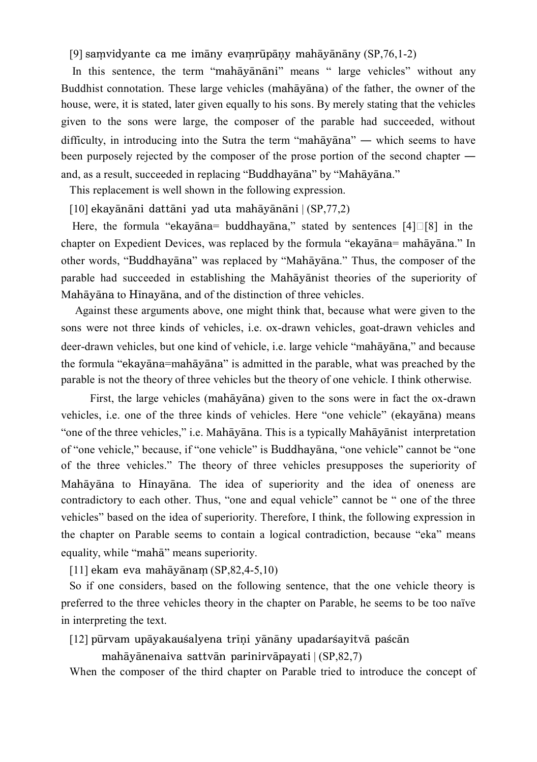[9] samvidyante ca me imāny evamrūpāny mahāyānāny  $(SP, 76, 1-2)$ 

In this sentence, the term "mahayanani" means " large vehicles" without any Buddhist connotation. These large vehicles (mahayana) of the father, the owner of the house, were, it is stated, later given equally to his sons. By merely stating that the vehicles given to the sons were large, the composer of the parable had succeeded, without difficulty, in introducing into the Sutra the term "mahayana" — which seems to have been purposely rejected by the composer of the prose portion of the second chapter ― and, as a result, succeeded in replacing "Buddhayana" by "Mahayana."

This replacement is well shown in the following expression.

 $[10]$  ekayānāni dattāni yad uta mahāyānāni  $|(SP,77,2)|$ 

Here, the formula "ekayana= buddhayana," stated by sentences  $[4] \square [8]$  in the chapter on Expedient Devices, was replaced by the formula "ekayana= mahayana." In other words, "Buddhayāna" was replaced by "Mahāyāna." Thus, the composer of the parable had succeeded in establishing the Mahayanist theories of the superiority of Mahāyāna to Hīnayāna, and of the distinction of three vehicles.

 Against these arguments above, one might think that, because what were given to the sons were not three kinds of vehicles, i.e. ox-drawn vehicles, goat-drawn vehicles and deer-drawn vehicles, but one kind of vehicle, i.e. large vehicle "mahayana," and because the formula "ekayana=mahayana" is admitted in the parable, what was preached by the parable is not the theory of three vehicles but the theory of one vehicle. I think otherwise.

First, the large vehicles (mahāyāna) given to the sons were in fact the ox-drawn vehicles, i.e. one of the three kinds of vehicles. Here "one vehicle" (ekayana) means "one of the three vehicles," i.e. Mahāyāna. This is a typically Mahāyānist interpretation of "one vehicle," because, if "one vehicle" is Buddhayana, "one vehicle" cannot be "one of the three vehicles." The theory of three vehicles presupposes the superiority of Mahāyāna to Hīnayāna. The idea of superiority and the idea of oneness are contradictory to each other. Thus, "one and equal vehicle" cannot be " one of the three vehicles" based on the idea of superiority. Therefore, I think, the following expression in the chapter on Parable seems to contain a logical contradiction, because "eka" means equality, while "maha" means superiority.

 $[11]$  ekam eva mahāyānam  $(SP, 82, 4-5, 10)$ 

 So if one considers, based on the following sentence, that the one vehicle theory is preferred to the three vehicles theory in the chapter on Parable, he seems to be too naïve in interpreting the text.

[12] pūrvam upāyakausalyena trīni yānāny upadarsayitvā pascān

mahāyānenaiva sattvān parinirvāpayati  $|(SP,82,7)|$ 

When the composer of the third chapter on Parable tried to introduce the concept of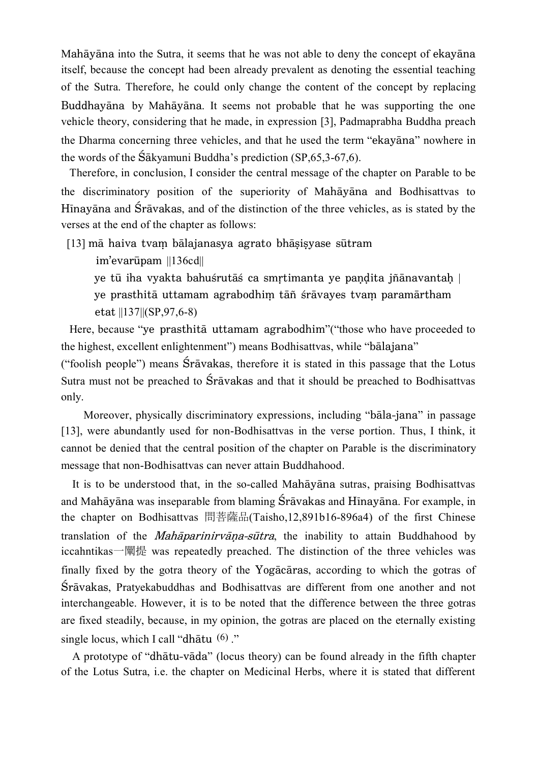Mahāyāna into the Sutra, it seems that he was not able to deny the concept of ekayana itself, because the concept had been already prevalent as denoting the essential teaching of the Sutra. Therefore, he could only change the content of the concept by replacing Buddhayāna by Mahāyāna. It seems not probable that he was supporting the one vehicle theory, considering that he made, in expression [3], Padmaprabha Buddha preach the Dharma concerning three vehicles, and that he used the term "ekayana" nowhere in the words of the  $\tilde{\text{S}}$ akyamuni Buddha's prediction (SP,65,3-67,6).

 Therefore, in conclusion, I consider the central message of the chapter on Parable to be the discriminatory position of the superiority of Mahayana and Bodhisattvas to Hinayana and Śravakas, and of the distinction of the three vehicles, as is stated by the verses at the end of the chapter as follows:

 $[13]$  mā haiva tvam bālajanasya agrato bhāsisyase sūtram

 $im'evar\bar{u}$ pam  $||136cd||$ 

ye tū iha vyakta bahuśrutāś ca smṛtimanta ye paṇḍita jñānavantaḥ | ye prasthitā uttamam agrabodhim tāñ śrāvayes tvam paramārtham etat ||137||(SP,97,6-8)

Here, because "ye prasthita uttamam agrabodhim" ("those who have proceeded to the highest, excellent enlightenment") means Bodhisattvas, while "bālajana"

("foolish people") means  $\hat{S}$ rāvakas, therefore it is stated in this passage that the Lotus Sutra must not be preached to  $S_{\text{r}}\bar{a}$  values and that it should be preached to Bodhisattvas only.

Moreover, physically discriminatory expressions, including "bala-jana" in passage [13], were abundantly used for non-Bodhisattvas in the verse portion. Thus, I think, it cannot be denied that the central position of the chapter on Parable is the discriminatory message that non-Bodhisattvas can never attain Buddhahood.

It is to be understood that, in the so-called Mahayana sutras, praising Bodhisattvas and Mah $\bar{a}$ yana was inseparable from blaming Śr $\bar{a}$ yakas and H $\bar{a}$ nayana. For example, in the chapter on Bodhisattvas 問菩薩品(Taisho,12,891b16-896a4) of the first Chinese translation of the *Mahaparinirvana-sutra*, the inability to attain Buddhahood by iccahntikas—闡提 was repeatedly preached. The distinction of the three vehicles was finally fixed by the gotra theory of the Yogacaras, according to which the gotras of Śrāvakas, Pratyekabuddhas and Bodhisattvas are different from one another and not interchangeable. However, it is to be noted that the difference between the three gotras are fixed steadily, because, in my opinion, the gotras are placed on the eternally existing single locus, which I call "dhātu  $(6)$ "

A prototype of "dhātu-vāda" (locus theory) can be found already in the fifth chapter of the Lotus Sutra, i.e. the chapter on Medicinal Herbs, where it is stated that different